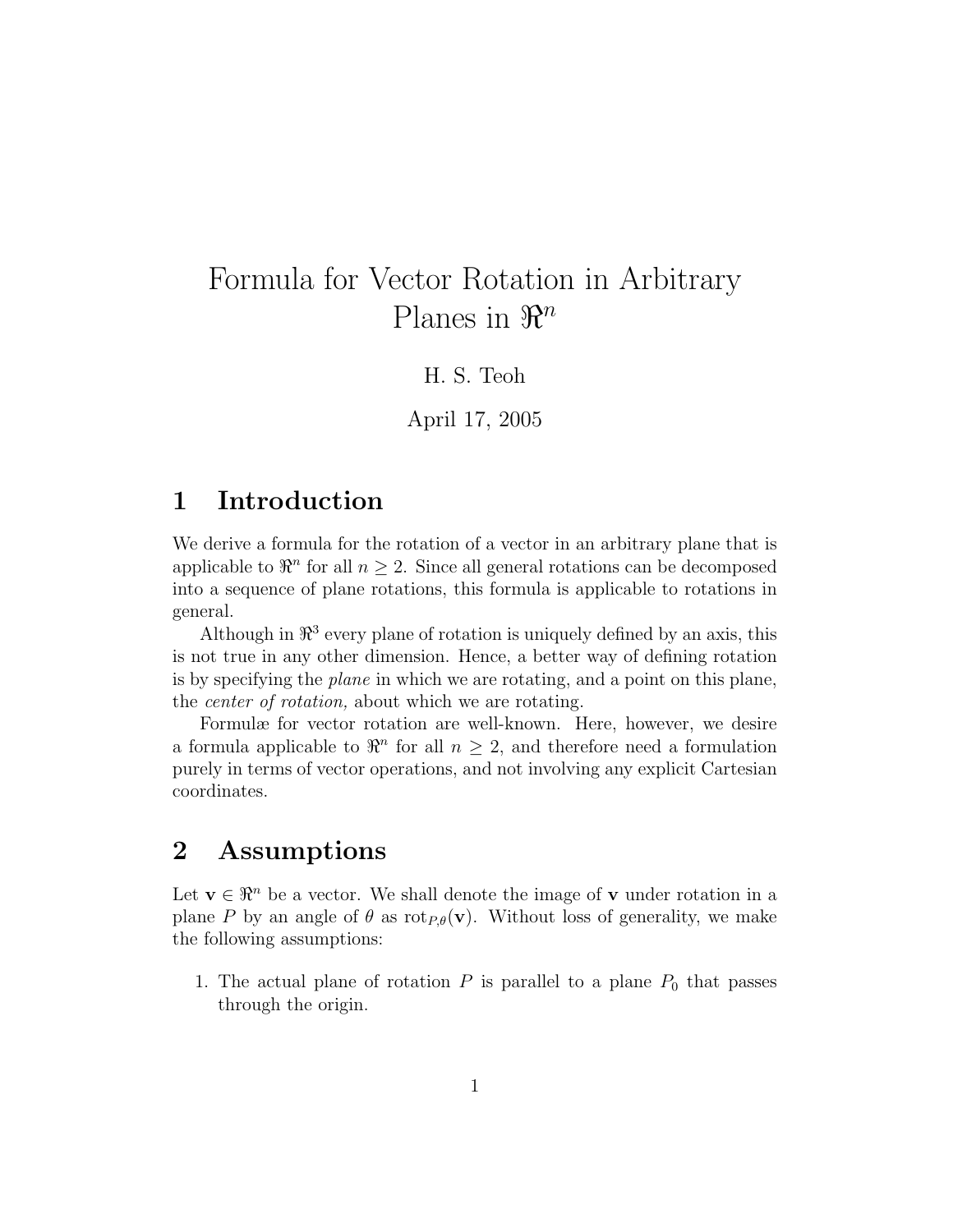# Formula for Vector Rotation in Arbitrary Planes in  $\mathbb{R}^n$

H. S. Teoh

April 17, 2005

### 1 Introduction

We derive a formula for the rotation of a vector in an arbitrary plane that is applicable to  $\mathbb{R}^n$  for all  $n \geq 2$ . Since all general rotations can be decomposed into a sequence of plane rotations, this formula is applicable to rotations in general.

Although in  $\mathbb{R}^3$  every plane of rotation is uniquely defined by an axis, this is not true in any other dimension. Hence, a better way of defining rotation is by specifying the plane in which we are rotating, and a point on this plane, the center of rotation, about which we are rotating.

Formulæ for vector rotation are well-known. Here, however, we desire a formula applicable to  $\mathbb{R}^n$  for all  $n \geq 2$ , and therefore need a formulation purely in terms of vector operations, and not involving any explicit Cartesian coordinates.

## 2 Assumptions

Let  $\mathbf{v} \in \mathbb{R}^n$  be a vector. We shall denote the image of **v** under rotation in a plane P by an angle of  $\theta$  as rot<sub>P, $\theta$ </sub>(v). Without loss of generality, we make the following assumptions:

1. The actual plane of rotation  $P$  is parallel to a plane  $P_0$  that passes through the origin.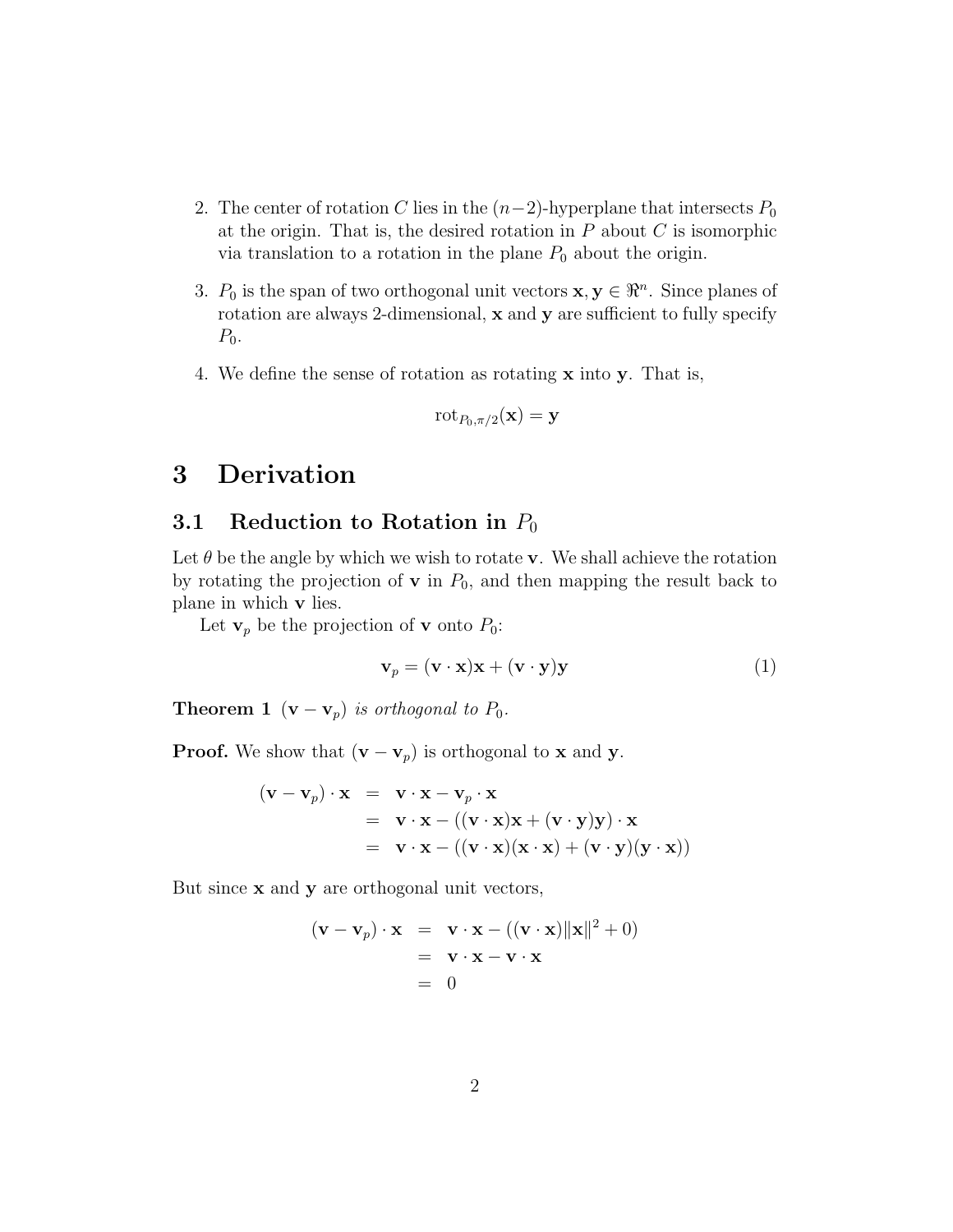- 2. The center of rotation C lies in the  $(n-2)$ -hyperplane that intersects  $P_0$ at the origin. That is, the desired rotation in  $P$  about  $C$  is isomorphic via translation to a rotation in the plane  $P_0$  about the origin.
- 3.  $P_0$  is the span of two orthogonal unit vectors  $\mathbf{x}, \mathbf{y} \in \mathbb{R}^n$ . Since planes of rotation are always 2-dimensional, x and y are sufficient to fully specify  $P_0$ .
- 4. We define the sense of rotation as rotating x into y. That is,

$$
\text{rot}_{P_0,\pi/2}(\mathbf{x}) = \mathbf{y}
$$

## 3 Derivation

### 3.1 Reduction to Rotation in  $P_0$

Let  $\theta$  be the angle by which we wish to rotate **v**. We shall achieve the rotation by rotating the projection of  $\bf{v}$  in  $P_0$ , and then mapping the result back to plane in which v lies.

Let  $\mathbf{v}_p$  be the projection of **v** onto  $P_0$ :

$$
\mathbf{v}_p = (\mathbf{v} \cdot \mathbf{x})\mathbf{x} + (\mathbf{v} \cdot \mathbf{y})\mathbf{y}
$$
 (1)

**Theorem 1** ( $\mathbf{v} - \mathbf{v}_p$ ) is orthogonal to  $P_0$ .

**Proof.** We show that  $(\mathbf{v} - \mathbf{v}_p)$  is orthogonal to **x** and **y**.

$$
(\mathbf{v} - \mathbf{v}_p) \cdot \mathbf{x} = \mathbf{v} \cdot \mathbf{x} - \mathbf{v}_p \cdot \mathbf{x}
$$
  
=  $\mathbf{v} \cdot \mathbf{x} - ((\mathbf{v} \cdot \mathbf{x})\mathbf{x} + (\mathbf{v} \cdot \mathbf{y})\mathbf{y}) \cdot \mathbf{x}$   
=  $\mathbf{v} \cdot \mathbf{x} - ((\mathbf{v} \cdot \mathbf{x})(\mathbf{x} \cdot \mathbf{x}) + (\mathbf{v} \cdot \mathbf{y})(\mathbf{y} \cdot \mathbf{x}))$ 

But since  $x$  and  $y$  are orthogonal unit vectors,

$$
(\mathbf{v} - \mathbf{v}_p) \cdot \mathbf{x} = \mathbf{v} \cdot \mathbf{x} - ((\mathbf{v} \cdot \mathbf{x}) ||\mathbf{x}||^2 + 0)
$$
  
=  $\mathbf{v} \cdot \mathbf{x} - \mathbf{v} \cdot \mathbf{x}$   
= 0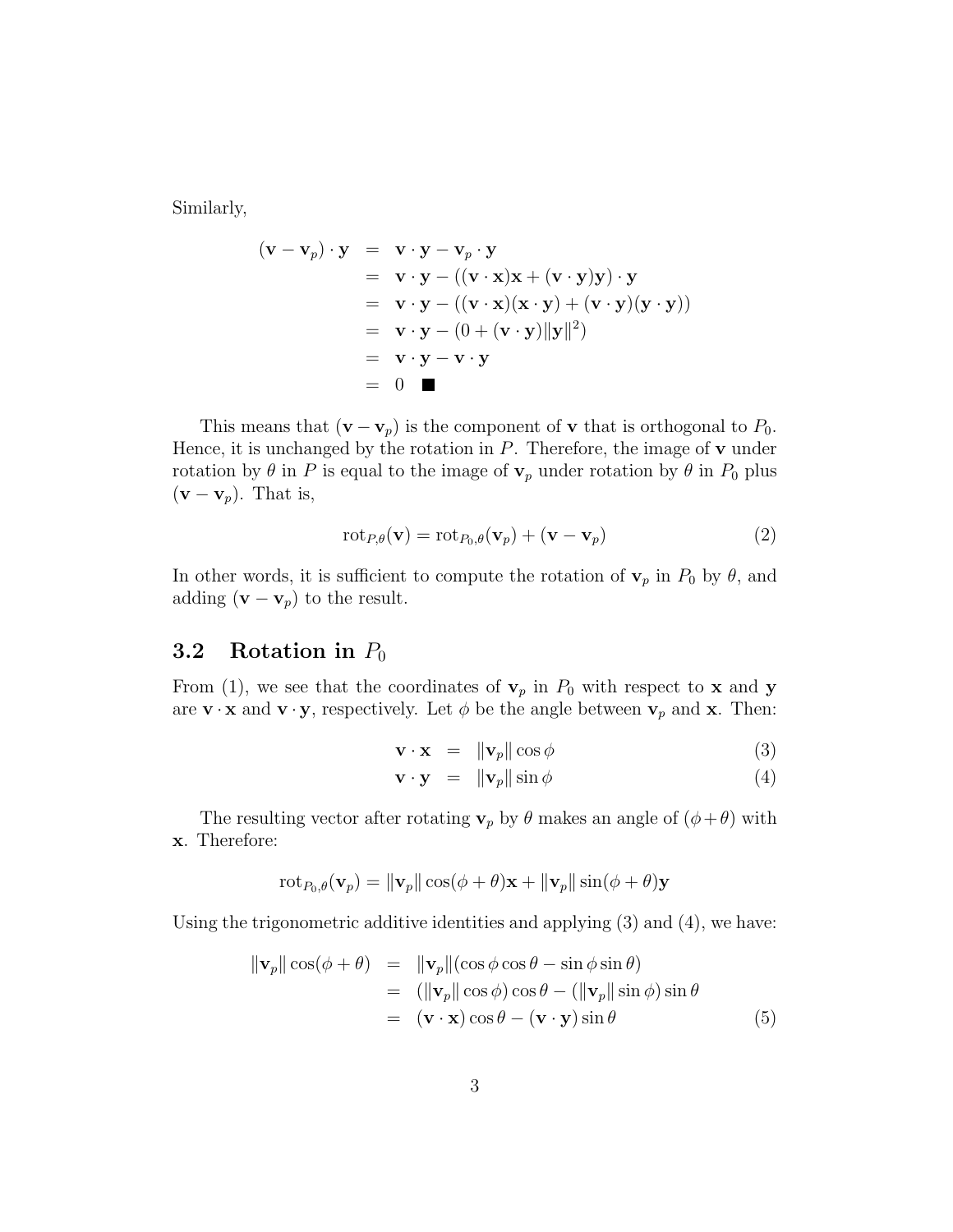Similarly,

$$
(\mathbf{v} - \mathbf{v}_p) \cdot \mathbf{y} = \mathbf{v} \cdot \mathbf{y} - \mathbf{v}_p \cdot \mathbf{y}
$$
  
=  $\mathbf{v} \cdot \mathbf{y} - ((\mathbf{v} \cdot \mathbf{x})\mathbf{x} + (\mathbf{v} \cdot \mathbf{y})\mathbf{y}) \cdot \mathbf{y}$   
=  $\mathbf{v} \cdot \mathbf{y} - ((\mathbf{v} \cdot \mathbf{x})(\mathbf{x} \cdot \mathbf{y}) + (\mathbf{v} \cdot \mathbf{y})(\mathbf{y} \cdot \mathbf{y}))$   
=  $\mathbf{v} \cdot \mathbf{y} - (0 + (\mathbf{v} \cdot \mathbf{y})||\mathbf{y}||^2)$   
=  $\mathbf{v} \cdot \mathbf{y} - \mathbf{v} \cdot \mathbf{y}$   
= 0

This means that  $(\mathbf{v} - \mathbf{v}_p)$  is the component of **v** that is orthogonal to  $P_0$ . Hence, it is unchanged by the rotation in  $P$ . Therefore, the image of  $\bf{v}$  under rotation by  $\theta$  in P is equal to the image of  $\mathbf{v}_p$  under rotation by  $\theta$  in  $P_0$  plus  $(\mathbf{v} - \mathbf{v}_p)$ . That is,

$$
rot_{P,\theta}(\mathbf{v}) = rot_{P_0,\theta}(\mathbf{v}_p) + (\mathbf{v} - \mathbf{v}_p)
$$
\n(2)

In other words, it is sufficient to compute the rotation of  $\mathbf{v}_p$  in  $P_0$  by  $\theta$ , and adding  $(\mathbf{v} - \mathbf{v}_p)$  to the result.

#### 3.2 Rotation in  $P_0$

From (1), we see that the coordinates of  $v_p$  in  $P_0$  with respect to **x** and **y** are  $\mathbf{v} \cdot \mathbf{x}$  and  $\mathbf{v} \cdot \mathbf{y}$ , respectively. Let  $\phi$  be the angle between  $\mathbf{v}_p$  and  $\mathbf{x}$ . Then:

$$
\mathbf{v} \cdot \mathbf{x} = \|\mathbf{v}_p\| \cos \phi \tag{3}
$$

$$
\mathbf{v} \cdot \mathbf{y} = \|\mathbf{v}_p\| \sin \phi \tag{4}
$$

The resulting vector after rotating  $\mathbf{v}_p$  by  $\theta$  makes an angle of  $(\phi + \theta)$  with x. Therefore:

$$
\mathrm{rot}_{P_0,\theta}(\mathbf{v}_p) = \|\mathbf{v}_p\| \cos(\phi + \theta)\mathbf{x} + \|\mathbf{v}_p\| \sin(\phi + \theta)\mathbf{y}
$$

Using the trigonometric additive identities and applying (3) and (4), we have:

$$
\|\mathbf{v}_p\| \cos(\phi + \theta) = \|\mathbf{v}_p\| (\cos \phi \cos \theta - \sin \phi \sin \theta)
$$
  
\n
$$
= (\|\mathbf{v}_p\| \cos \phi) \cos \theta - (\|\mathbf{v}_p\| \sin \phi) \sin \theta
$$
  
\n
$$
= (\mathbf{v} \cdot \mathbf{x}) \cos \theta - (\mathbf{v} \cdot \mathbf{y}) \sin \theta
$$
(5)